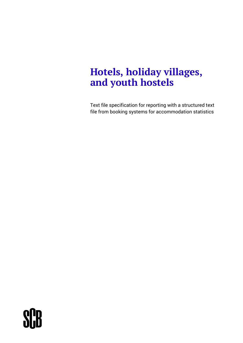## **Hotels, holiday villages, and youth hostels**

Text file specification for reporting with a structured text file from booking systems for accommodation statistics

# **SHB**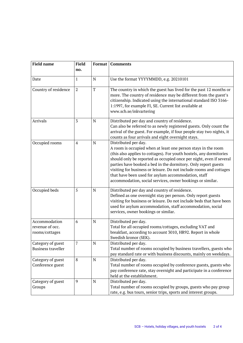| <b>Field name</b>                                  | <b>Field</b>   | Format      | Comments                                                                                                                                                                                                                                                                                                                                                                                                                                                                                          |
|----------------------------------------------------|----------------|-------------|---------------------------------------------------------------------------------------------------------------------------------------------------------------------------------------------------------------------------------------------------------------------------------------------------------------------------------------------------------------------------------------------------------------------------------------------------------------------------------------------------|
|                                                    | no.            |             |                                                                                                                                                                                                                                                                                                                                                                                                                                                                                                   |
| Date                                               | 1              | N           | Use the format YYYYMMDD, e.g. 20210101                                                                                                                                                                                                                                                                                                                                                                                                                                                            |
| Country of residence                               | $\overline{2}$ | $\mathbf T$ | The country in which the guest has lived for the past 12 months or<br>more. The country of residence may be different from the guest's<br>citizenship. Indicated using the international standard ISO 3166-<br>1:1997, for example FI, SE. Current list available at<br>www.scb.se/inkvartering                                                                                                                                                                                                   |
| Arrivals                                           | 3              | N           | Distributed per day and country of residence.<br>Can also be referred to as newly registered guests. Only count the<br>arrival of the guest. For example, if four people stay two nights, it<br>counts as four arrivals and eight overnight stays.                                                                                                                                                                                                                                                |
| Occupied rooms                                     | $\overline{4}$ | N           | Distributed per day.<br>A room is occupied when at least one person stays in the room<br>(this also applies to cottages). For youth hostels, any dormitories<br>should only be reported as occupied once per night, even if several<br>parties have booked a bed in the dormitory. Only report guests<br>visiting for business or leisure. Do not include rooms and cottages<br>that have been used for asylum accommodation, staff<br>accommodation, social services, owner bookings or similar. |
| Occupied beds                                      | 5              | ${\bf N}$   | Distributed per day and country of residence.<br>Defined as one overnight stay per person. Only report guests<br>visiting for business or leisure. Do not include beds that have been<br>used for asylum accommodation, staff accommodation, social<br>services, owner bookings or similar.                                                                                                                                                                                                       |
| Accommodation<br>revenue of occ.<br>rooms/cottages | 6              | $\mathbf N$ | Distributed per day.<br>Total for all occupied rooms/cottages, excluding VAT and<br>breakfast, according to account 3010, HR92. Report in whole<br>Swedish kronor (SEK).                                                                                                                                                                                                                                                                                                                          |
| Category of guest<br><b>Business traveller</b>     |                | ${\bf N}$   | Distributed per day.<br>Total number of rooms occupied by business travellers, guests who<br>pay standard rate or with business discounts, mainly on weekdays.                                                                                                                                                                                                                                                                                                                                    |
| Category of guest<br>Conference guest              | $\,8\,$        | ${\bf N}$   | Distributed per day.<br>Total number of rooms occupied by conference guests, guests who<br>pay conference rate, stay overnight and participate in a conference<br>held at the establishment.                                                                                                                                                                                                                                                                                                      |
| Category of guest<br>Groups                        | 9              | ${\bf N}$   | Distributed per day.<br>Total number of rooms occupied by groups, guests who pay group<br>rate, e.g. bus tours, senior trips, sports and interest groups.                                                                                                                                                                                                                                                                                                                                         |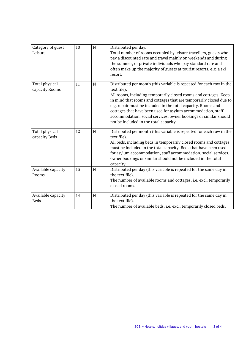| Category of guest<br>Leisure      | 10 | $\mathbf N$ | Distributed per day.<br>Total number of rooms occupied by leisure travellers, guests who<br>pay a discounted rate and travel mainly on weekends and during<br>the summer, or private individuals who pay standard rate and<br>often make up the majority of guests at tourist resorts, e.g. a ski<br>resort.                                                                                                                                                                 |
|-----------------------------------|----|-------------|------------------------------------------------------------------------------------------------------------------------------------------------------------------------------------------------------------------------------------------------------------------------------------------------------------------------------------------------------------------------------------------------------------------------------------------------------------------------------|
| Total physical<br>capacity Rooms  | 11 | N           | Distributed per month (this variable is repeated for each row in the<br>text file).<br>All rooms, including temporarily closed rooms and cottages. Keep<br>in mind that rooms and cottages that are temporarily closed due to<br>e.g. repair must be included in the total capacity. Rooms and<br>cottages that have been used for asylum accommodation, staff<br>accommodation, social services, owner bookings or similar should<br>not be included in the total capacity. |
| Total physical<br>capacity Beds   | 12 | N           | Distributed per month (this variable is repeated for each row in the<br>text file).<br>All beds, including beds in temporarily closed rooms and cottages<br>must be included in the total capacity. Beds that have been used<br>for asylum accommodation, staff accommodation, social services,<br>owner bookings or similar should not be included in the total<br>capacity.                                                                                                |
| Available capacity<br>Rooms       | 13 | N           | Distributed per day (this variable is repeated for the same day in<br>the text file).<br>The number of available rooms and cottages, i.e. excl. temporarily<br>closed rooms.                                                                                                                                                                                                                                                                                                 |
| Available capacity<br><b>Beds</b> | 14 | N           | Distributed per day (this variable is repeated for the same day in<br>the text file).<br>The number of available beds, i.e. excl. temporarily closed beds.                                                                                                                                                                                                                                                                                                                   |